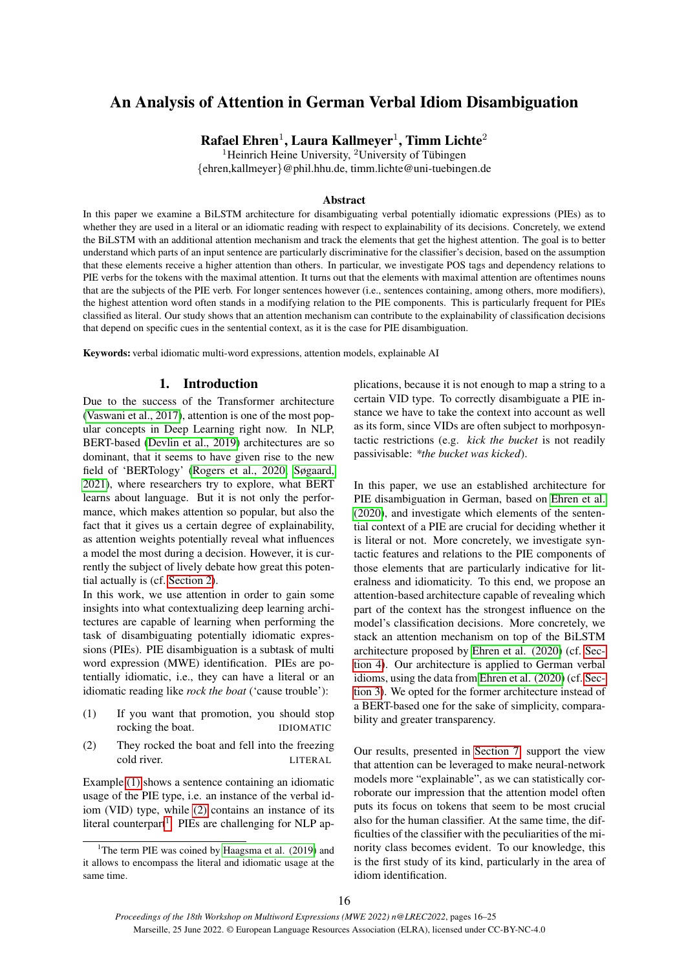# An Analysis of Attention in German Verbal Idiom Disambiguation

 $\mathbf{R}$ afael Ehren $^1$ , Laura Kallmeyer $^1$ , Timm Lichte $^2$ 

<sup>1</sup>Heinrich Heine University, <sup>2</sup>University of Tübingen {ehren,kallmeyer}@phil.hhu.de, timm.lichte@uni-tuebingen.de

# Abstract

In this paper we examine a BiLSTM architecture for disambiguating verbal potentially idiomatic expressions (PIEs) as to whether they are used in a literal or an idiomatic reading with respect to explainability of its decisions. Concretely, we extend the BiLSTM with an additional attention mechanism and track the elements that get the highest attention. The goal is to better understand which parts of an input sentence are particularly discriminative for the classifier's decision, based on the assumption that these elements receive a higher attention than others. In particular, we investigate POS tags and dependency relations to PIE verbs for the tokens with the maximal attention. It turns out that the elements with maximal attention are oftentimes nouns that are the subjects of the PIE verb. For longer sentences however (i.e., sentences containing, among others, more modifiers), the highest attention word often stands in a modifying relation to the PIE components. This is particularly frequent for PIEs classified as literal. Our study shows that an attention mechanism can contribute to the explainability of classification decisions that depend on specific cues in the sentential context, as it is the case for PIE disambiguation.

Keywords: verbal idiomatic multi-word expressions, attention models, explainable AI

# 1. Introduction

Due to the success of the Transformer architecture [\(Vaswani et al., 2017\)](#page-9-0), attention is one of the most popular concepts in Deep Learning right now. In NLP, BERT-based [\(Devlin et al., 2019\)](#page-8-0) architectures are so dominant, that it seems to have given rise to the new field of 'BERTology' [\(Rogers et al., 2020;](#page-9-1) [Søgaard,](#page-9-2) [2021\)](#page-9-2), where researchers try to explore, what BERT learns about language. But it is not only the performance, which makes attention so popular, but also the fact that it gives us a certain degree of explainability, as attention weights potentially reveal what influences a model the most during a decision. However, it is currently the subject of lively debate how great this potential actually is (cf. [Section 2\)](#page-0-0).

In this work, we use attention in order to gain some insights into what contextualizing deep learning architectures are capable of learning when performing the task of disambiguating potentially idiomatic expressions (PIEs). PIE disambiguation is a subtask of multi word expression (MWE) identification. PIEs are potentially idiomatic, i.e., they can have a literal or an idiomatic reading like *rock the boat* ('cause trouble'):

- <span id="page-0-1"></span>(1) If you want that promotion, you should stop rocking the boat. IDIOMATIC
- <span id="page-0-2"></span>(2) They rocked the boat and fell into the freezing cold river. LITERAL

Example [\(1\)](#page-0-1) shows a sentence containing an idiomatic usage of the PIE type, i.e. an instance of the verbal idiom (VID) type, while [\(2\)](#page-0-2) contains an instance of its literal counterpart<sup>[1](#page-0-3)</sup>. PIEs are challenging for NLP applications, because it is not enough to map a string to a certain VID type. To correctly disambiguate a PIE instance we have to take the context into account as well as its form, since VIDs are often subject to morhposyntactic restrictions (e.g. *kick the bucket* is not readily passivisable: *\*the bucket was kicked*).

In this paper, we use an established architecture for PIE disambiguation in German, based on [Ehren et al.](#page-8-1) [\(2020\)](#page-8-1), and investigate which elements of the sentential context of a PIE are crucial for deciding whether it is literal or not. More concretely, we investigate syntactic features and relations to the PIE components of those elements that are particularly indicative for literalness and idiomaticity. To this end, we propose an attention-based architecture capable of revealing which part of the context has the strongest influence on the model's classification decisions. More concretely, we stack an attention mechanism on top of the BiLSTM architecture proposed by [Ehren et al. \(2020\)](#page-8-1) (cf. [Sec](#page-2-0)[tion 4\)](#page-2-0). Our architecture is applied to German verbal idioms, using the data from [Ehren et al. \(2020\)](#page-8-1) (cf. [Sec](#page-1-0)[tion 3\)](#page-1-0). We opted for the former architecture instead of a BERT-based one for the sake of simplicity, comparability and greater transparency.

<span id="page-0-0"></span>Our results, presented in [Section 7,](#page-4-0) support the view that attention can be leveraged to make neural-network models more "explainable", as we can statistically corroborate our impression that the attention model often puts its focus on tokens that seem to be most crucial also for the human classifier. At the same time, the difficulties of the classifier with the peculiarities of the minority class becomes evident. To our knowledge, this is the first study of its kind, particularly in the area of idiom identification.

<span id="page-0-3"></span><sup>&</sup>lt;sup>1</sup>The term PIE was coined by Haagsma et al.  $(2019)$  and it allows to encompass the literal and idiomatic usage at the same time.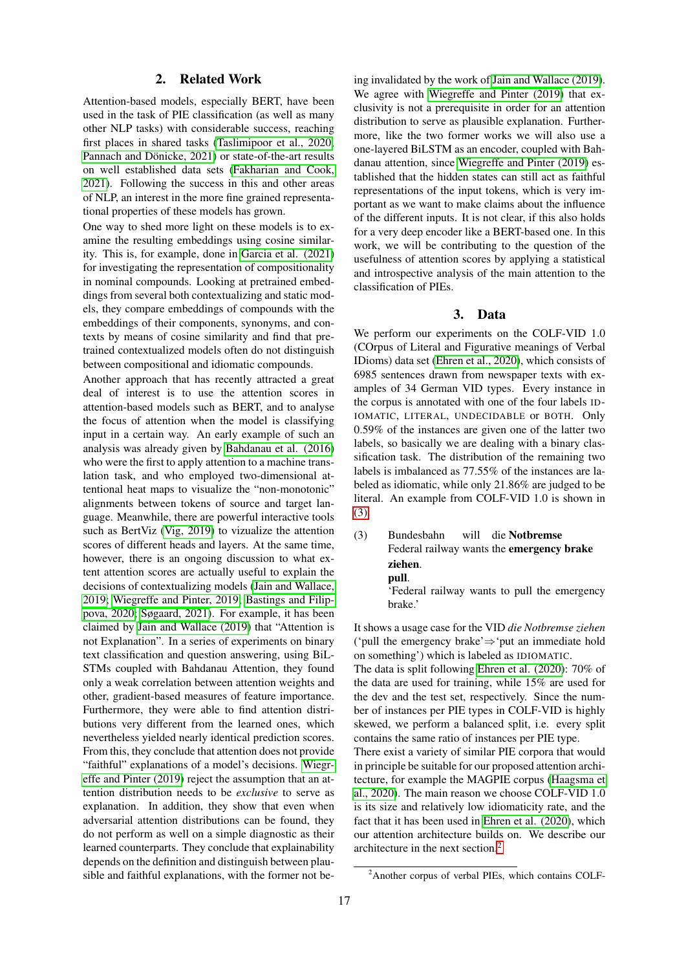# 2. Related Work

Attention-based models, especially BERT, have been used in the task of PIE classification (as well as many other NLP tasks) with considerable success, reaching first places in shared tasks [\(Taslimipoor et al., 2020;](#page-9-4) Pannach and Dönicke, 2021) or state-of-the-art results on well established data sets [\(Fakharian and Cook,](#page-8-2) [2021\)](#page-8-2). Following the success in this and other areas of NLP, an interest in the more fine grained representational properties of these models has grown.

One way to shed more light on these models is to examine the resulting embeddings using cosine similarity. This is, for example, done in [Garcia et al. \(2021\)](#page-8-3) for investigating the representation of compositionality in nominal compounds. Looking at pretrained embeddings from several both contextualizing and static models, they compare embeddings of compounds with the embeddings of their components, synonyms, and contexts by means of cosine similarity and find that pretrained contextualized models often do not distinguish between compositional and idiomatic compounds.

Another approach that has recently attracted a great deal of interest is to use the attention scores in attention-based models such as BERT, and to analyse the focus of attention when the model is classifying input in a certain way. An early example of such an analysis was already given by [Bahdanau et al. \(2016\)](#page-8-4) who were the first to apply attention to a machine translation task, and who employed two-dimensional attentional heat maps to visualize the "non-monotonic" alignments between tokens of source and target language. Meanwhile, there are powerful interactive tools such as BertViz [\(Vig, 2019\)](#page-9-6) to vizualize the attention scores of different heads and layers. At the same time, however, there is an ongoing discussion to what extent attention scores are actually useful to explain the decisions of contextualizing models [\(Jain and Wallace,](#page-9-7) [2019;](#page-9-7) [Wiegreffe and Pinter, 2019;](#page-9-8) [Bastings and Filip](#page-8-5)[pova, 2020;](#page-8-5) [Søgaard, 2021\)](#page-9-2). For example, it has been claimed by [Jain and Wallace \(2019\)](#page-9-7) that "Attention is not Explanation". In a series of experiments on binary text classification and question answering, using BiL-STMs coupled with Bahdanau Attention, they found only a weak correlation between attention weights and other, gradient-based measures of feature importance. Furthermore, they were able to find attention distributions very different from the learned ones, which nevertheless yielded nearly identical prediction scores. From this, they conclude that attention does not provide "faithful" explanations of a model's decisions. [Wiegr](#page-9-8)[effe and Pinter \(2019\)](#page-9-8) reject the assumption that an attention distribution needs to be *exclusive* to serve as explanation. In addition, they show that even when adversarial attention distributions can be found, they do not perform as well on a simple diagnostic as their learned counterparts. They conclude that explainability depends on the definition and distinguish between plausible and faithful explanations, with the former not being invalidated by the work of [Jain and Wallace \(2019\)](#page-9-7). We agree with [Wiegreffe and Pinter \(2019\)](#page-9-8) that exclusivity is not a prerequisite in order for an attention distribution to serve as plausible explanation. Furthermore, like the two former works we will also use a one-layered BiLSTM as an encoder, coupled with Bahdanau attention, since [Wiegreffe and Pinter \(2019\)](#page-9-8) established that the hidden states can still act as faithful representations of the input tokens, which is very important as we want to make claims about the influence of the different inputs. It is not clear, if this also holds for a very deep encoder like a BERT-based one. In this work, we will be contributing to the question of the usefulness of attention scores by applying a statistical and introspective analysis of the main attention to the classification of PIEs.

### 3. Data

<span id="page-1-0"></span>We perform our experiments on the COLF-VID 1.0 (COrpus of Literal and Figurative meanings of Verbal IDioms) data set [\(Ehren et al., 2020\)](#page-8-1), which consists of 6985 sentences drawn from newspaper texts with examples of 34 German VID types. Every instance in the corpus is annotated with one of the four labels ID-IOMATIC, LITERAL, UNDECIDABLE or BOTH. Only 0.59% of the instances are given one of the latter two labels, so basically we are dealing with a binary classification task. The distribution of the remaining two labels is imbalanced as 77.55% of the instances are labeled as idiomatic, while only 21.86% are judged to be literal. An example from COLF-VID 1.0 is shown in [\(3\):](#page-1-1)

<span id="page-1-1"></span>(3) Bundesbahn Federal railway wants the emergency brake will die Notbremse ziehen. pull. 'Federal railway wants to pull the emergency

brake.'

It shows a usage case for the VID *die Notbremse ziehen* ('pull the emergency brake'⇒'put an immediate hold on something') which is labeled as IDIOMATIC.

The data is split following [Ehren et al. \(2020\)](#page-8-1): 70% of the data are used for training, while 15% are used for the dev and the test set, respectively. Since the number of instances per PIE types in COLF-VID is highly skewed, we perform a balanced split, i.e. every split contains the same ratio of instances per PIE type. There exist a variety of similar PIE corpora that would

in principle be suitable for our proposed attention architecture, for example the MAGPIE corpus [\(Haagsma et](#page-9-9) [al., 2020\)](#page-9-9). The main reason we choose COLF-VID 1.0 is its size and relatively low idiomaticity rate, and the fact that it has been used in [Ehren et al. \(2020\)](#page-8-1), which our attention architecture builds on. We describe our architecture in the next section.[2](#page-1-2)

<span id="page-1-2"></span><sup>&</sup>lt;sup>2</sup>Another corpus of verbal PIEs, which contains COLF-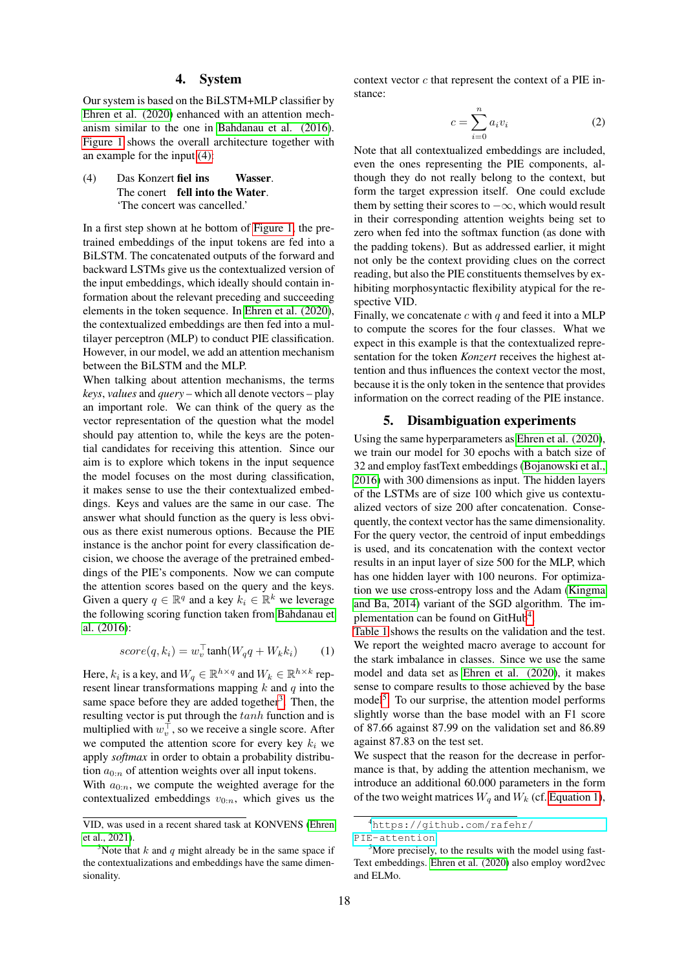#### 4. System

<span id="page-2-0"></span>Our system is based on the BiLSTM+MLP classifier by [Ehren et al. \(2020\)](#page-8-1) enhanced with an attention mechanism similar to the one in [Bahdanau et al. \(2016\)](#page-8-4). [Figure 1](#page-3-0) shows the overall architecture together with an example for the input [\(4\):](#page-2-1)

<span id="page-2-1"></span>(4) Das Konzert fiel ins The conert fell into the Water. **Wasser** 'The concert was cancelled.'

In a first step shown at he bottom of [Figure 1,](#page-3-0) the pretrained embeddings of the input tokens are fed into a BiLSTM. The concatenated outputs of the forward and backward LSTMs give us the contextualized version of the input embeddings, which ideally should contain information about the relevant preceding and succeeding elements in the token sequence. In [Ehren et al. \(2020\)](#page-8-1), the contextualized embeddings are then fed into a multilayer perceptron (MLP) to conduct PIE classification. However, in our model, we add an attention mechanism between the BiLSTM and the MLP.

When talking about attention mechanisms, the terms *keys*, *values* and *query* – which all denote vectors – play an important role. We can think of the query as the vector representation of the question what the model should pay attention to, while the keys are the potential candidates for receiving this attention. Since our aim is to explore which tokens in the input sequence the model focuses on the most during classification, it makes sense to use the their contextualized embeddings. Keys and values are the same in our case. The answer what should function as the query is less obvious as there exist numerous options. Because the PIE instance is the anchor point for every classification decision, we choose the average of the pretrained embeddings of the PIE's components. Now we can compute the attention scores based on the query and the keys. Given a query  $q \in \mathbb{R}^q$  and a key  $k_i \in \mathbb{R}^k$  we leverage the following scoring function taken from [Bahdanau et](#page-8-4) [al. \(2016\)](#page-8-4):

<span id="page-2-5"></span>
$$
score(q, k_i) = w_v^{\top} \tanh(W_q q + W_k k_i) \tag{1}
$$

Here,  $k_i$  is a key, and  $W_q \in \mathbb{R}^{h \times q}$  and  $W_k \in \mathbb{R}^{h \times k}$  represent linear transformations mapping  $k$  and  $q$  into the same space before they are added together<sup>[3](#page-2-2)</sup>. Then, the resulting vector is put through the tanh function and is multiplied with  $w_v^{\top}$ , so we receive a single score. After we computed the attention score for every key  $k_i$  we apply *softmax* in order to obtain a probability distribution  $a_{0:n}$  of attention weights over all input tokens.

With  $a_{0:n}$ , we compute the weighted average for the contextualized embeddings  $v_{0:n}$ , which gives us the

context vector  $c$  that represent the context of a PIE instance:

$$
c = \sum_{i=0}^{n} a_i v_i \tag{2}
$$

Note that all contextualized embeddings are included, even the ones representing the PIE components, although they do not really belong to the context, but form the target expression itself. One could exclude them by setting their scores to  $-\infty$ , which would result in their corresponding attention weights being set to zero when fed into the softmax function (as done with the padding tokens). But as addressed earlier, it might not only be the context providing clues on the correct reading, but also the PIE constituents themselves by exhibiting morphosyntactic flexibility atypical for the respective VID.

Finally, we concatenate  $c$  with  $q$  and feed it into a MLP to compute the scores for the four classes. What we expect in this example is that the contextualized representation for the token *Konzert* receives the highest attention and thus influences the context vector the most, because it is the only token in the sentence that provides information on the correct reading of the PIE instance.

## 5. Disambiguation experiments

Using the same hyperparameters as [Ehren et al. \(2020\)](#page-8-1), we train our model for 30 epochs with a batch size of 32 and employ fastText embeddings [\(Bojanowski et al.,](#page-8-7) [2016\)](#page-8-7) with 300 dimensions as input. The hidden layers of the LSTMs are of size 100 which give us contextualized vectors of size 200 after concatenation. Consequently, the context vector has the same dimensionality. For the query vector, the centroid of input embeddings is used, and its concatenation with the context vector results in an input layer of size 500 for the MLP, which has one hidden layer with 100 neurons. For optimization we use cross-entropy loss and the Adam [\(Kingma](#page-9-10) [and Ba, 2014\)](#page-9-10) variant of the SGD algorithm. The im-plementation can be found on GitHub<sup>[4](#page-2-3)</sup>.

[Table 1](#page-3-1) shows the results on the validation and the test. We report the weighted macro average to account for the stark imbalance in classes. Since we use the same model and data set as [Ehren et al. \(2020\)](#page-8-1), it makes sense to compare results to those achieved by the base model<sup>[5](#page-2-4)</sup>. To our surprise, the attention model performs slightly worse than the base model with an F1 score of 87.66 against 87.99 on the validation set and 86.89 against 87.83 on the test set.

We suspect that the reason for the decrease in performance is that, by adding the attention mechanism, we introduce an additional 60.000 parameters in the form of the two weight matrices  $W_q$  and  $W_k$  (cf. [Equation 1\)](#page-2-5),

VID, was used in a recent shared task at KONVENS [\(Ehren](#page-8-6) [et al., 2021\)](#page-8-6).

<span id="page-2-2"></span><sup>&</sup>lt;sup>3</sup>Note that k and q might already be in the same space if the contextualizations and embeddings have the same dimensionality.

<span id="page-2-3"></span><sup>4</sup>[https://github.com/rafehr/](https://github.com/rafehr/PIE-attention)

[PIE-attention](https://github.com/rafehr/PIE-attention)

<span id="page-2-4"></span> $5$ More precisely, to the results with the model using fast-Text embeddings. [Ehren et al. \(2020\)](#page-8-1) also employ word2vec and ELMo.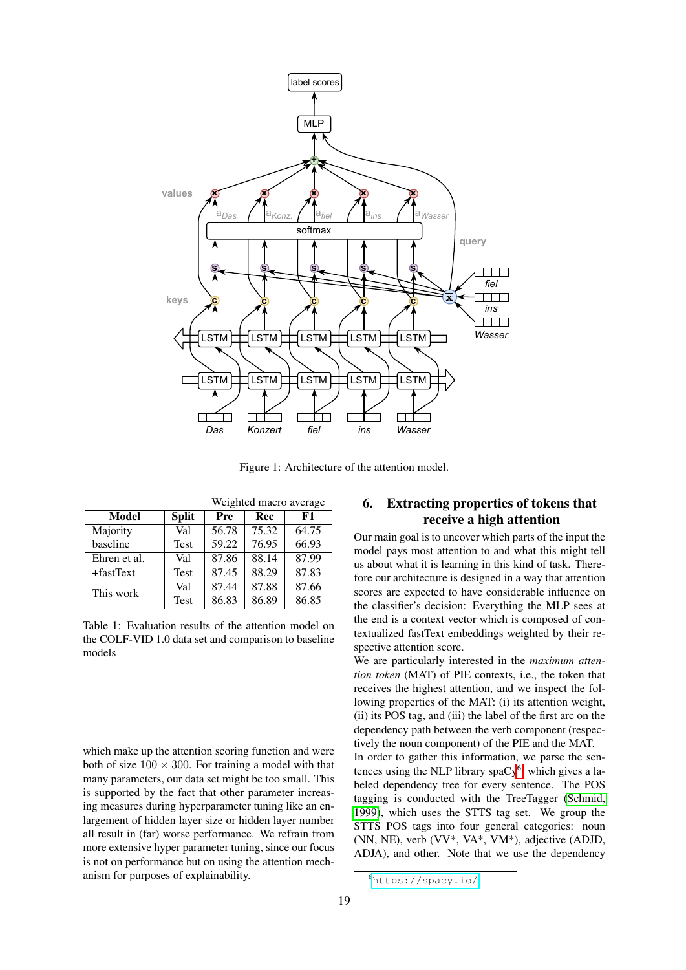

<span id="page-3-0"></span>Figure 1: Architecture of the attention model.

|              |              | Weighted macro average |       |       |  |
|--------------|--------------|------------------------|-------|-------|--|
| Model        | <b>Split</b> | Pre                    | Rec   | F1    |  |
| Majority     | Val          | 56.78                  | 75.32 | 64.75 |  |
| baseline     | <b>Test</b>  | 59.22                  | 76.95 | 66.93 |  |
| Ehren et al. | Val          | 87.86                  | 88.14 | 87.99 |  |
| +fastText    | <b>Test</b>  | 87.45                  | 88.29 | 87.83 |  |
| This work    | Val          | 87.44                  | 87.88 | 87.66 |  |
|              | <b>Test</b>  | 86.83                  | 86.89 | 86.85 |  |

<span id="page-3-1"></span>Table 1: Evaluation results of the attention model on the COLF-VID 1.0 data set and comparison to baseline models

which make up the attention scoring function and were both of size  $100 \times 300$ . For training a model with that many parameters, our data set might be too small. This is supported by the fact that other parameter increasing measures during hyperparameter tuning like an enlargement of hidden layer size or hidden layer number all result in (far) worse performance. We refrain from more extensive hyper parameter tuning, since our focus is not on performance but on using the attention mechanism for purposes of explainability.

# 6. Extracting properties of tokens that receive a high attention

Our main goal is to uncover which parts of the input the model pays most attention to and what this might tell us about what it is learning in this kind of task. Therefore our architecture is designed in a way that attention scores are expected to have considerable influence on the classifier's decision: Everything the MLP sees at the end is a context vector which is composed of contextualized fastText embeddings weighted by their respective attention score.

We are particularly interested in the *maximum attention token* (MAT) of PIE contexts, i.e., the token that receives the highest attention, and we inspect the following properties of the MAT: (i) its attention weight, (ii) its POS tag, and (iii) the label of the first arc on the dependency path between the verb component (respectively the noun component) of the PIE and the MAT.

In order to gather this information, we parse the sentences using the NLP library spa $Cy^6$  $Cy^6$ , which gives a labeled dependency tree for every sentence. The POS tagging is conducted with the TreeTagger [\(Schmid,](#page-9-11) [1999\)](#page-9-11), which uses the STTS tag set. We group the STTS POS tags into four general categories: noun (NN, NE), verb (VV\*, VA\*, VM\*), adjective (ADJD, ADJA), and other. Note that we use the dependency

<span id="page-3-2"></span><sup>6</sup><https://spacy.io/>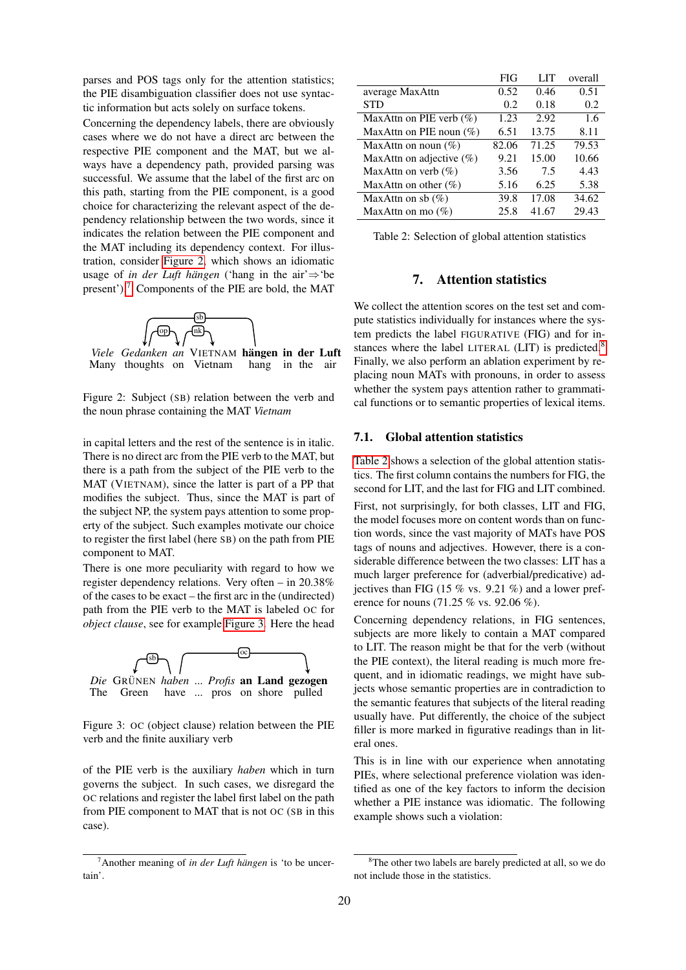parses and POS tags only for the attention statistics; the PIE disambiguation classifier does not use syntactic information but acts solely on surface tokens.

Concerning the dependency labels, there are obviously cases where we do not have a direct arc between the respective PIE component and the MAT, but we always have a dependency path, provided parsing was successful. We assume that the label of the first arc on this path, starting from the PIE component, is a good choice for characterizing the relevant aspect of the dependency relationship between the two words, since it indicates the relation between the PIE component and the MAT including its dependency context. For illustration, consider [Figure 2,](#page-4-1) which shows an idiomatic usage of *in der Luft hängen* ('hang in the air' $\Rightarrow$ 'be present').<sup>[7](#page-4-2)</sup> Components of the PIE are bold, the MAT



*Viele Gedanken an* VIETNAM **hängen in der Luft** Many thoughts on Vietnam hang in the air Many thoughts on Vietnam hang in the air

<span id="page-4-1"></span>Figure 2: Subject (SB) relation between the verb and the noun phrase containing the MAT *Vietnam*

in capital letters and the rest of the sentence is in italic. There is no direct arc from the PIE verb to the MAT, but there is a path from the subject of the PIE verb to the MAT (VIETNAM), since the latter is part of a PP that modifies the subject. Thus, since the MAT is part of the subject NP, the system pays attention to some property of the subject. Such examples motivate our choice to register the first label (here SB) on the path from PIE component to MAT.

There is one more peculiarity with regard to how we register dependency relations. Very often – in 20.38% of the cases to be exact – the first arc in the (undirected) path from the PIE verb to the MAT is labeled OC for *object clause*, see for example [Figure 3.](#page-4-3) Here the head



<span id="page-4-3"></span>Figure 3: OC (object clause) relation between the PIE verb and the finite auxiliary verb

of the PIE verb is the auxiliary *haben* which in turn governs the subject. In such cases, we disregard the OC relations and register the label first label on the path from PIE component to MAT that is not OC (SB in this case).

|                            | FIG   | LIT   | overall |
|----------------------------|-------|-------|---------|
| average MaxAttn            | 0.52  | 0.46  | 0.51    |
| STD                        | 0.2   | 0.18  | 0.2     |
| MaxAttn on PIE verb $(\%)$ | 1.23  | 2.92  | 1.6     |
| MaxAttn on PIE noun $(\%)$ | 6.51  | 13.75 | 8.11    |
| MaxAttn on noun $(\%)$     | 82.06 | 71.25 | 79.53   |
| MaxAttn on adjective (%)   | 9.21  | 15.00 | 10.66   |
| MaxAttn on verb $(\%)$     | 3.56  | 7.5   | 4.43    |
| MaxAttn on other $(\%)$    | 5.16  | 6.25  | 5.38    |
| MaxAttn on sb $(\%)$       | 39.8  | 17.08 | 34.62   |
| MaxAttn on mo $(\%)$       | 25.8  | 41.67 | 29.43   |

<span id="page-4-5"></span>Table 2: Selection of global attention statistics

## 7. Attention statistics

<span id="page-4-0"></span>We collect the attention scores on the test set and compute statistics individually for instances where the system predicts the label FIGURATIVE (FIG) and for in-stances where the label LITERAL (LIT) is predicted.<sup>[8](#page-4-4)</sup> Finally, we also perform an ablation experiment by replacing noun MATs with pronouns, in order to assess whether the system pays attention rather to grammatical functions or to semantic properties of lexical items.

# 7.1. Global attention statistics

[Table 2](#page-4-5) shows a selection of the global attention statistics. The first column contains the numbers for FIG, the second for LIT, and the last for FIG and LIT combined. First, not surprisingly, for both classes, LIT and FIG, the model focuses more on content words than on function words, since the vast majority of MATs have POS tags of nouns and adjectives. However, there is a considerable difference between the two classes: LIT has a much larger preference for (adverbial/predicative) adjectives than FIG (15  $\%$  vs. 9.21  $\%$ ) and a lower preference for nouns (71.25 % vs. 92.06 %).

Concerning dependency relations, in FIG sentences, subjects are more likely to contain a MAT compared to LIT. The reason might be that for the verb (without the PIE context), the literal reading is much more frequent, and in idiomatic readings, we might have subjects whose semantic properties are in contradiction to the semantic features that subjects of the literal reading usually have. Put differently, the choice of the subject filler is more marked in figurative readings than in literal ones.

This is in line with our experience when annotating PIEs, where selectional preference violation was identified as one of the key factors to inform the decision whether a PIE instance was idiomatic. The following example shows such a violation:

<span id="page-4-2"></span> $^7$ Another meaning of *in der Luft hängen* is 'to be uncertain'.

<span id="page-4-4"></span><sup>&</sup>lt;sup>8</sup>The other two labels are barely predicted at all, so we do not include those in the statistics.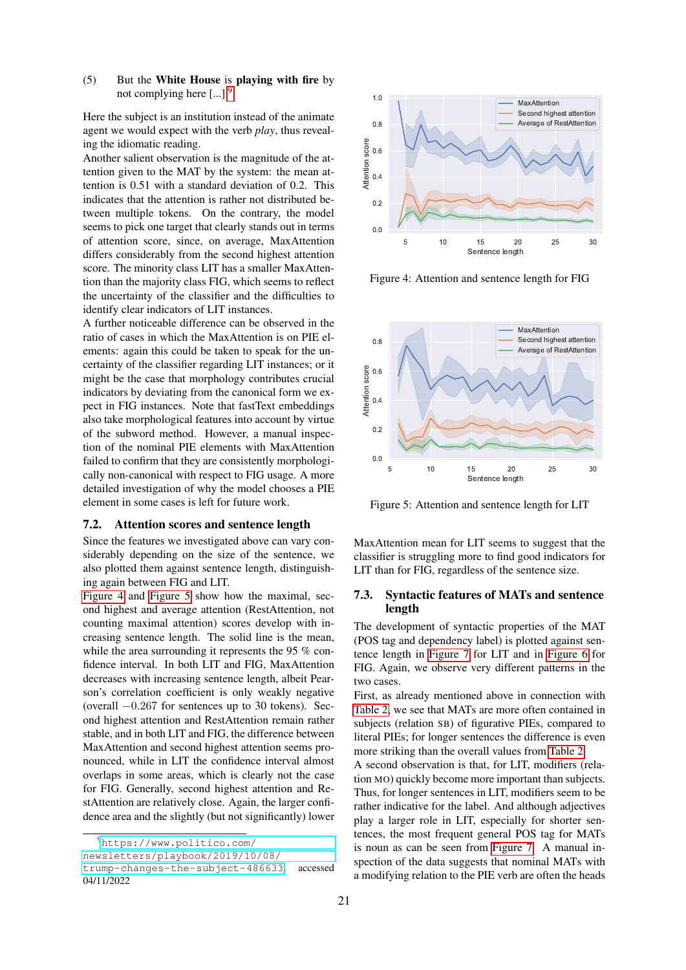# (5) But the White House is playing with fire by not complying here [...].[9](#page-5-0)

Here the subject is an institution instead of the animate agent we would expect with the verb *play*, thus revealing the idiomatic reading.

Another salient observation is the magnitude of the attention given to the MAT by the system: the mean attention is 0.51 with a standard deviation of 0.2. This indicates that the attention is rather not distributed between multiple tokens. On the contrary, the model seems to pick one target that clearly stands out in terms of attention score, since, on average, MaxAttention differs considerably from the second highest attention score. The minority class LIT has a smaller MaxAttention than the majority class FIG, which seems to reflect the uncertainty of the classifier and the difficulties to identify clear indicators of LIT instances.

A further noticeable difference can be observed in the ratio of cases in which the MaxAttention is on PIE elements: again this could be taken to speak for the uncertainty of the classifier regarding LIT instances; or it might be the case that morphology contributes crucial indicators by deviating from the canonical form we expect in FIG instances. Note that fastText embeddings also take morphological features into account by virtue of the subword method. However, a manual inspection of the nominal PIE elements with MaxAttention failed to confirm that they are consistently morphologically non-canonical with respect to FIG usage. A more detailed investigation of why the model chooses a PIE element in some cases is left for future work.

#### 7.2. Attention scores and sentence length

Since the features we investigated above can vary considerably depending on the size of the sentence, we also plotted them against sentence length, distinguishing again between FIG and LIT.

[Figure 4](#page-5-1) and [Figure 5](#page-5-2) show how the maximal, second highest and average attention (RestAttention, not counting maximal attention) scores develop with increasing sentence length. The solid line is the mean, while the area surrounding it represents the 95 % confidence interval. In both LIT and FIG, MaxAttention decreases with increasing sentence length, albeit Pearson's correlation coefficient is only weakly negative (overall −0.267 for sentences up to 30 tokens). Second highest attention and RestAttention remain rather stable, and in both LIT and FIG, the difference between MaxAttention and second highest attention seems pronounced, while in LIT the confidence interval almost overlaps in some areas, which is clearly not the case for FIG. Generally, second highest attention and RestAttention are relatively close. Again, the larger confidence area and the slightly (but not significantly) lower

<span id="page-5-0"></span><sup>9</sup>[https://www.politico.com/](https://www.politico.com/newsletters/playbook/2019/10/08/trump-changes-the-subject-486633)



<span id="page-5-1"></span>Figure 4: Attention and sentence length for FIG



<span id="page-5-2"></span>Figure 5: Attention and sentence length for LIT

MaxAttention mean for LIT seems to suggest that the classifier is struggling more to find good indicators for LIT than for FIG, regardless of the sentence size.

## 7.3. Syntactic features of MATs and sentence length

The development of syntactic properties of the MAT (POS tag and dependency label) is plotted against sentence length in [Figure 7](#page-6-0) for LIT and in [Figure 6](#page-6-1) for FIG. Again, we observe very different patterns in the two cases.

First, as already mentioned above in connection with [Table 2,](#page-4-5) we see that MATs are more often contained in subjects (relation SB) of figurative PIEs, compared to literal PIEs; for longer sentences the difference is even more striking than the overall values from [Table 2.](#page-4-5)

A second observation is that, for LIT, modifiers (relation MO) quickly become more important than subjects. Thus, for longer sentences in LIT, modifiers seem to be rather indicative for the label. And although adjectives play a larger role in LIT, especially for shorter sentences, the most frequent general POS tag for MATs is noun as can be seen from [Figure 7.](#page-6-0) A manual inspection of the data suggests that nominal MATs with a modifying relation to the PIE verb are often the heads

[newsletters/playbook/2019/10/08/](https://www.politico.com/newsletters/playbook/2019/10/08/trump-changes-the-subject-486633)

[trump-changes-the-subject-486633](https://www.politico.com/newsletters/playbook/2019/10/08/trump-changes-the-subject-486633), accessed 04/11/2022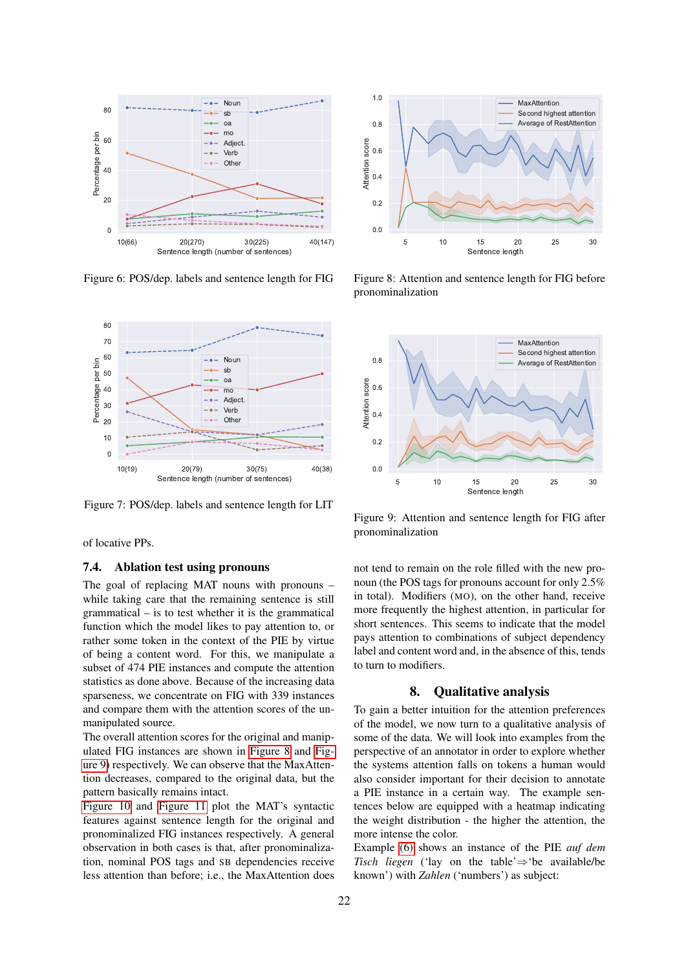

<span id="page-6-1"></span>Figure 6: POS/dep. labels and sentence length for FIG



<span id="page-6-0"></span>Figure 7: POS/dep. labels and sentence length for LIT

of locative PPs.

#### 7.4. Ablation test using pronouns

The goal of replacing MAT nouns with pronouns – while taking care that the remaining sentence is still grammatical – is to test whether it is the grammatical function which the model likes to pay attention to, or rather some token in the context of the PIE by virtue of being a content word. For this, we manipulate a subset of 474 PIE instances and compute the attention statistics as done above. Because of the increasing data sparseness, we concentrate on FIG with 339 instances and compare them with the attention scores of the unmanipulated source.

The overall attention scores for the original and manipulated FIG instances are shown in [Figure 8](#page-6-2) and [Fig](#page-6-3)[ure 9\)](#page-6-3) respectively. We can observe that the MaxAttention decreases, compared to the original data, but the pattern basically remains intact.

[Figure 10](#page-7-0) and [Figure 11](#page-7-1) plot the MAT's syntactic features against sentence length for the original and pronominalized FIG instances respectively. A general observation in both cases is that, after pronominalization, nominal POS tags and SB dependencies receive less attention than before; i.e., the MaxAttention does



<span id="page-6-2"></span>Figure 8: Attention and sentence length for FIG before pronominalization



<span id="page-6-3"></span>Figure 9: Attention and sentence length for FIG after pronominalization

not tend to remain on the role filled with the new pronoun (the POS tags for pronouns account for only 2.5% in total). Modifiers (MO), on the other hand, receive more frequently the highest attention, in particular for short sentences. This seems to indicate that the model pays attention to combinations of subject dependency label and content word and, in the absence of this, tends to turn to modifiers.

### 8. Qualitative analysis

To gain a better intuition for the attention preferences of the model, we now turn to a qualitative analysis of some of the data. We will look into examples from the perspective of an annotator in order to explore whether the systems attention falls on tokens a human would also consider important for their decision to annotate a PIE instance in a certain way. The example sentences below are equipped with a heatmap indicating the weight distribution - the higher the attention, the more intense the color.

Example [\(6\)](#page-7-2) shows an instance of the PIE *auf dem Tisch liegen* ('lay on the table'⇒'be available/be known') with *Zahlen* ('numbers') as subject: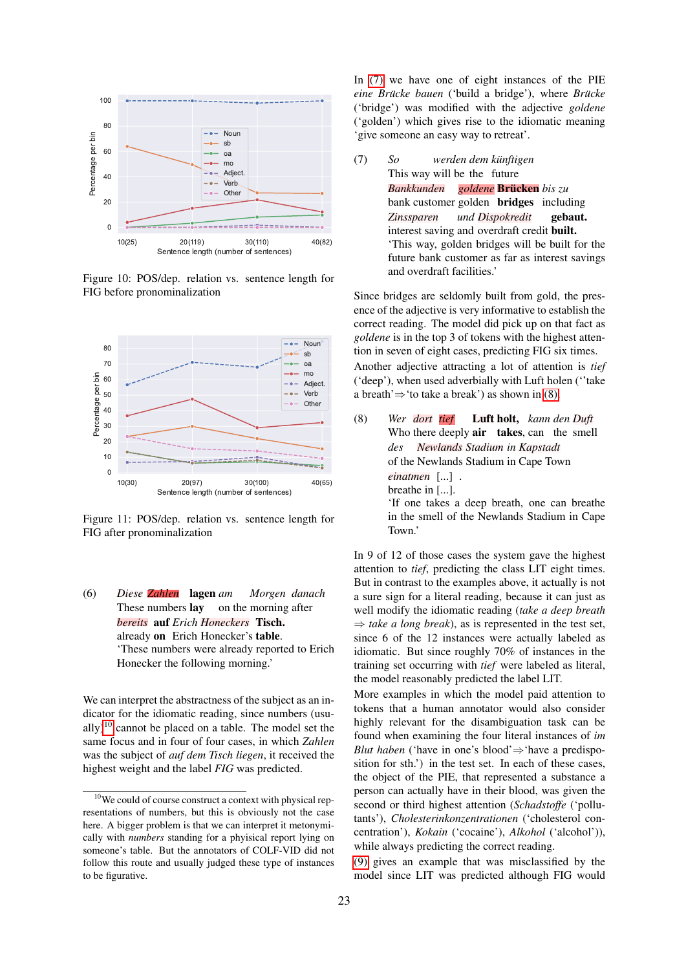

<span id="page-7-0"></span>Figure 10: POS/dep. relation vs. sentence length for FIG before pronominalization



<span id="page-7-1"></span>Figure 11: POS/dep. relation vs. sentence length for FIG after pronominalization

<span id="page-7-2"></span>(6) *Diese Zahlen* lagen *am* These numbers lay on the morning after *Morgen danach bereits* auf *Erich Honeckers* Tisch. already on Erich Honecker's table. 'These numbers were already reported to Erich Honecker the following morning.'

We can interpret the abstractness of the subject as an indicator for the idiomatic reading, since numbers (usu-ally)<sup>[10](#page-7-3)</sup> cannot be placed on a table. The model set the same focus and in four of four cases, in which *Zahlen* was the subject of *auf dem Tisch liegen*, it received the highest weight and the label *FIG* was predicted.

In [\(7\)](#page-7-4) we have one of eight instances of the PIE *eine Brücke bauen* ('build a bridge'), where *Brücke* ('bridge') was modified with the adjective *goldene* ('golden') which gives rise to the idiomatic meaning 'give someone an easy way to retreat'.

<span id="page-7-4"></span>(7) *So* This way will be the future *werden dem kunftigen ¨ Bankkunden* bank customer golden bridges including *goldene* Brucken ¨ *bis zu Zinssparen* interest saving and overdraft credit built. *und Dispokredit* gebaut. 'This way, golden bridges will be built for the future bank customer as far as interest savings and overdraft facilities.'

Since bridges are seldomly built from gold, the presence of the adjective is very informative to establish the correct reading. The model did pick up on that fact as *goldene* is in the top 3 of tokens with the highest attention in seven of eight cases, predicting FIG six times. Another adjective attracting a lot of attention is *tief* ('deep'), when used adverbially with Luft holen (''take a breath' $\Rightarrow$ 'to take a break') as shown in [\(8\).](#page-7-5)

<span id="page-7-5"></span>(8) *Wer dort tief* Who there deeply air takes, can the smell Luft holt, *kann den Duft des* of the Newlands Stadium in Cape Town *Newlands Stadium in Kapstadt einatmen* [...] . breathe in [...]. 'If one takes a deep breath, one can breathe in the smell of the Newlands Stadium in Cape Town.'

In 9 of 12 of those cases the system gave the highest attention to *tief*, predicting the class LIT eight times. But in contrast to the examples above, it actually is not a sure sign for a literal reading, because it can just as well modify the idiomatic reading (*take a deep breath*  $\Rightarrow$  *take a long break*), as is represented in the test set, since 6 of the 12 instances were actually labeled as idiomatic. But since roughly 70% of instances in the training set occurring with *tief* were labeled as literal, the model reasonably predicted the label LIT.

More examples in which the model paid attention to tokens that a human annotator would also consider highly relevant for the disambiguation task can be found when examining the four literal instances of *im Blut haben* ('have in one's blood'⇒'have a predisposition for sth.') in the test set. In each of these cases, the object of the PIE, that represented a substance a person can actually have in their blood, was given the second or third highest attention (*Schadstoffe* ('pollutants'), *Cholesterinkonzentrationen* ('cholesterol concentration'), *Kokain* ('cocaine'), *Alkohol* ('alcohol')), while always predicting the correct reading.

[\(9\)](#page-8-8) gives an example that was misclassified by the model since LIT was predicted although FIG would

<span id="page-7-3"></span><sup>&</sup>lt;sup>10</sup>We could of course construct a context with physical representations of numbers, but this is obviously not the case here. A bigger problem is that we can interpret it metonymically with *numbers* standing for a phyisical report lying on someone's table. But the annotators of COLF-VID did not follow this route and usually judged these type of instances to be figurative.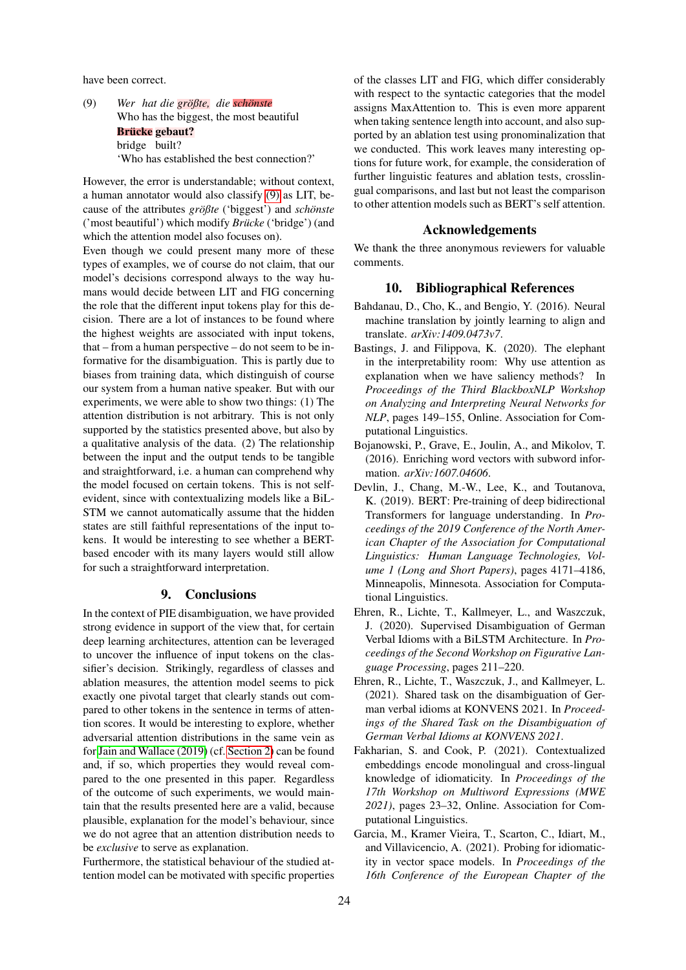<span id="page-8-8"></span>have been correct.

(9) Wer hat die größte, die **schönste** Who has the biggest, the most beautiful Brücke gebaut? bridge built? 'Who has established the best connection?'

However, the error is understandable; without context, a human annotator would also classify [\(9\)](#page-8-8) as LIT, because of the attributes *größte* ('biggest') and *schönste* ('most beautiful') which modify *Brucke ¨* ('bridge') (and which the attention model also focuses on).

Even though we could present many more of these types of examples, we of course do not claim, that our model's decisions correspond always to the way humans would decide between LIT and FIG concerning the role that the different input tokens play for this decision. There are a lot of instances to be found where the highest weights are associated with input tokens, that – from a human perspective – do not seem to be informative for the disambiguation. This is partly due to biases from training data, which distinguish of course our system from a human native speaker. But with our experiments, we were able to show two things: (1) The attention distribution is not arbitrary. This is not only supported by the statistics presented above, but also by a qualitative analysis of the data. (2) The relationship between the input and the output tends to be tangible and straightforward, i.e. a human can comprehend why the model focused on certain tokens. This is not selfevident, since with contextualizing models like a BiL-STM we cannot automatically assume that the hidden states are still faithful representations of the input tokens. It would be interesting to see whether a BERTbased encoder with its many layers would still allow for such a straightforward interpretation.

## 9. Conclusions

In the context of PIE disambiguation, we have provided strong evidence in support of the view that, for certain deep learning architectures, attention can be leveraged to uncover the influence of input tokens on the classifier's decision. Strikingly, regardless of classes and ablation measures, the attention model seems to pick exactly one pivotal target that clearly stands out compared to other tokens in the sentence in terms of attention scores. It would be interesting to explore, whether adversarial attention distributions in the same vein as for [Jain and Wallace \(2019\)](#page-9-7) (cf. [Section 2\)](#page-0-0) can be found and, if so, which properties they would reveal compared to the one presented in this paper. Regardless of the outcome of such experiments, we would maintain that the results presented here are a valid, because plausible, explanation for the model's behaviour, since we do not agree that an attention distribution needs to be *exclusive* to serve as explanation.

Furthermore, the statistical behaviour of the studied attention model can be motivated with specific properties of the classes LIT and FIG, which differ considerably with respect to the syntactic categories that the model assigns MaxAttention to. This is even more apparent when taking sentence length into account, and also supported by an ablation test using pronominalization that we conducted. This work leaves many interesting options for future work, for example, the consideration of further linguistic features and ablation tests, crosslingual comparisons, and last but not least the comparison to other attention models such as BERT's self attention.

# Acknowledgements

We thank the three anonymous reviewers for valuable comments.

# 10. Bibliographical References

- <span id="page-8-4"></span>Bahdanau, D., Cho, K., and Bengio, Y. (2016). Neural machine translation by jointly learning to align and translate. *arXiv:1409.0473v7*.
- <span id="page-8-5"></span>Bastings, J. and Filippova, K. (2020). The elephant in the interpretability room: Why use attention as explanation when we have saliency methods? In *Proceedings of the Third BlackboxNLP Workshop on Analyzing and Interpreting Neural Networks for NLP*, pages 149–155, Online. Association for Computational Linguistics.
- <span id="page-8-7"></span>Bojanowski, P., Grave, E., Joulin, A., and Mikolov, T. (2016). Enriching word vectors with subword information. *arXiv:1607.04606*.
- <span id="page-8-0"></span>Devlin, J., Chang, M.-W., Lee, K., and Toutanova, K. (2019). BERT: Pre-training of deep bidirectional Transformers for language understanding. In *Proceedings of the 2019 Conference of the North American Chapter of the Association for Computational Linguistics: Human Language Technologies, Volume 1 (Long and Short Papers)*, pages 4171–4186, Minneapolis, Minnesota. Association for Computational Linguistics.
- <span id="page-8-1"></span>Ehren, R., Lichte, T., Kallmeyer, L., and Waszczuk, J. (2020). Supervised Disambiguation of German Verbal Idioms with a BiLSTM Architecture. In *Proceedings of the Second Workshop on Figurative Language Processing*, pages 211–220.
- <span id="page-8-6"></span>Ehren, R., Lichte, T., Waszczuk, J., and Kallmeyer, L. (2021). Shared task on the disambiguation of German verbal idioms at KONVENS 2021. In *Proceedings of the Shared Task on the Disambiguation of German Verbal Idioms at KONVENS 2021*.
- <span id="page-8-2"></span>Fakharian, S. and Cook, P. (2021). Contextualized embeddings encode monolingual and cross-lingual knowledge of idiomaticity. In *Proceedings of the 17th Workshop on Multiword Expressions (MWE 2021)*, pages 23–32, Online. Association for Computational Linguistics.
- <span id="page-8-3"></span>Garcia, M., Kramer Vieira, T., Scarton, C., Idiart, M., and Villavicencio, A. (2021). Probing for idiomaticity in vector space models. In *Proceedings of the 16th Conference of the European Chapter of the*